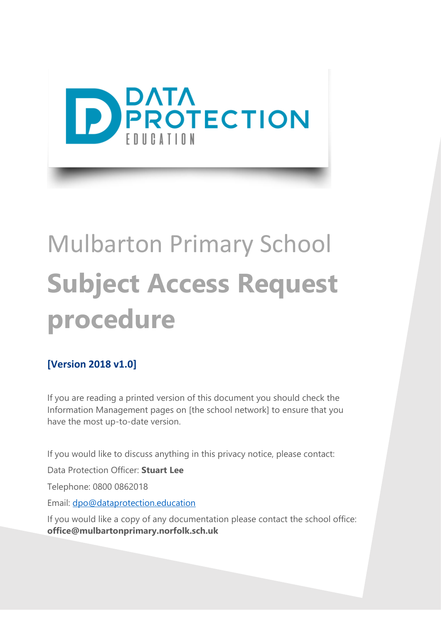

# Mulbarton Primary School **Subject Access Request procedure**

#### **[Version 2018 v1.0]**

If you are reading a printed version of this document you should check the Information Management pages on [the school network] to ensure that you have the most up-to-date version.

If you would like to discuss anything in this privacy notice, please contact:

Data Protection Officer: **Stuart Lee**

Telephone: 0800 0862018

Email: [dpo@dataprotection.education](mailto:dpo@dataprotection.education)

If you would like a copy of any documentation please contact the school office: **office@mulbartonprimary.norfolk.sch.uk**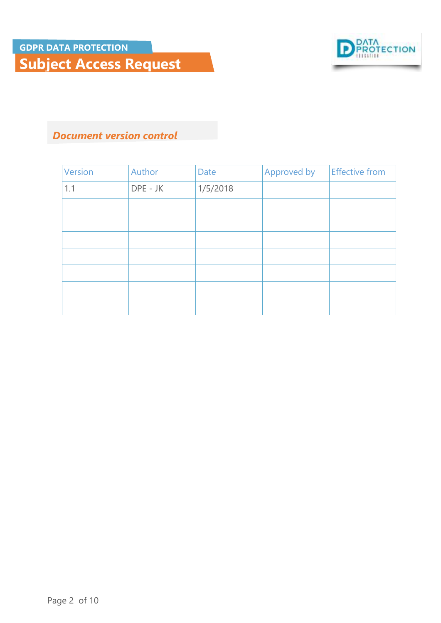

**Subject Access Request**

#### *Document version control*

| Version | Author   | Date     | Approved by | <b>Effective from</b> |
|---------|----------|----------|-------------|-----------------------|
| 1.1     | DPE - JK | 1/5/2018 |             |                       |
|         |          |          |             |                       |
|         |          |          |             |                       |
|         |          |          |             |                       |
|         |          |          |             |                       |
|         |          |          |             |                       |
|         |          |          |             |                       |
|         |          |          |             |                       |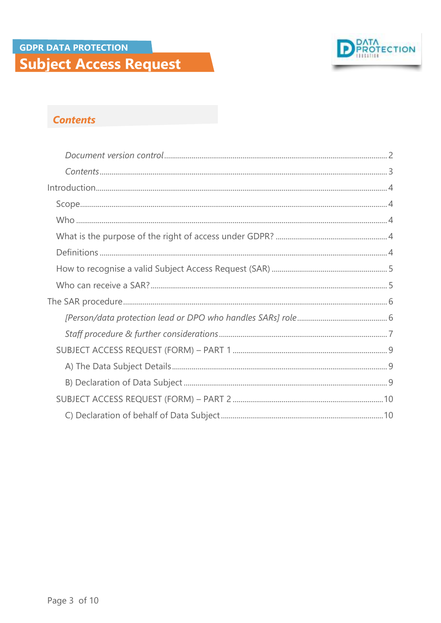

#### **Contents**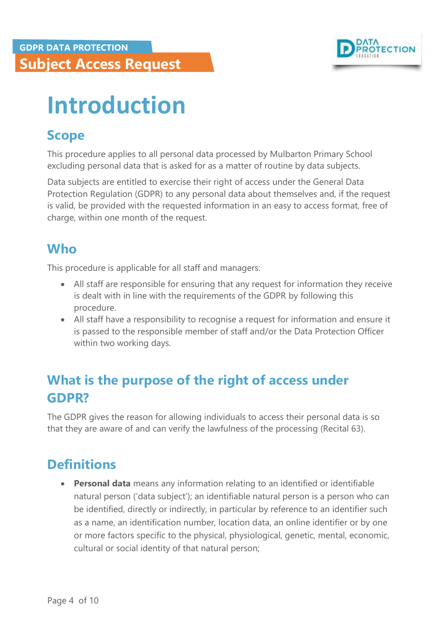

## <span id="page-3-0"></span>**Introduction**

### <span id="page-3-1"></span>**Scope**

This procedure applies to all personal data processed by Mulbarton Primary School excluding personal data that is asked for as a matter of routine by data subjects.

Data subjects are entitled to exercise their right of access under the General Data Protection Regulation (GDPR) to any personal data about themselves and, if the request is valid, be provided with the requested information in an easy to access format, free of charge, within one month of the request.

## <span id="page-3-2"></span>**Who**

This procedure is applicable for all staff and managers:

- All staff are responsible for ensuring that any request for information they receive is dealt with in line with the requirements of the GDPR by following this procedure.
- All staff have a responsibility to recognise a request for information and ensure it is passed to the responsible member of staff and/or the Data Protection Officer within two working days.

## <span id="page-3-3"></span>**What is the purpose of the right of access under GDPR?**

The GDPR gives the reason for allowing individuals to access their personal data is so that they are aware of and can verify the lawfulness of the processing (Recital 63).

## <span id="page-3-4"></span>**Definitions**

 **Personal data** means any information relating to an identified or identifiable natural person ('data subject'); an identifiable natural person is a person who can be identified, directly or indirectly, in particular by reference to an identifier such as a name, an identification number, location data, an online identifier or by one or more factors specific to the physical, physiological, genetic, mental, economic, cultural or social identity of that natural person;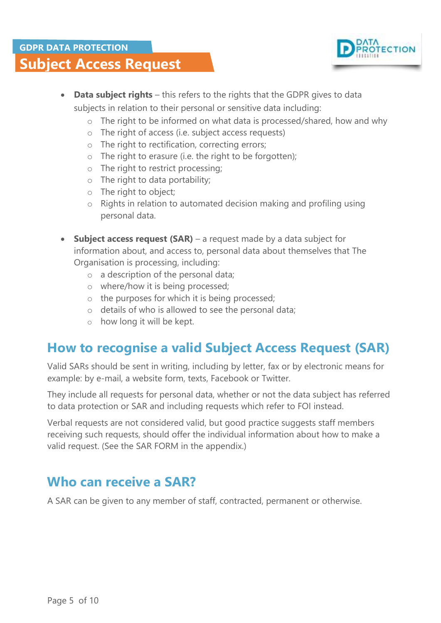

- **Data subject rights** this refers to the rights that the GDPR gives to data subjects in relation to their personal or sensitive data including:
	- o The right to be informed on what data is processed/shared, how and why
	- o The right of access (i.e. subject access requests)
	- o The right to rectification, correcting errors;
	- o The right to erasure (i.e. the right to be forgotten);
	- o The right to restrict processing;
	- o The right to data portability;
	- o The right to object;
	- o Rights in relation to automated decision making and profiling using personal data.
- **Subject access request (SAR)** a request made by a data subject for information about, and access to, personal data about themselves that The Organisation is processing, including:
	- o a description of the personal data;
	- o where/how it is being processed;
	- o the purposes for which it is being processed;
	- o details of who is allowed to see the personal data;
	- o how long it will be kept.

#### <span id="page-4-0"></span>**How to recognise a valid Subject Access Request (SAR)**

Valid SARs should be sent in writing, including by letter, fax or by electronic means for example: by e-mail, a website form, texts, Facebook or Twitter.

They include all requests for personal data, whether or not the data subject has referred to data protection or SAR and including requests which refer to FOI instead.

Verbal requests are not considered valid, but good practice suggests staff members receiving such requests, should offer the individual information about how to make a valid request. (See the SAR FORM in the appendix.)

#### <span id="page-4-1"></span>**Who can receive a SAR?**

A SAR can be given to any member of staff, contracted, permanent or otherwise.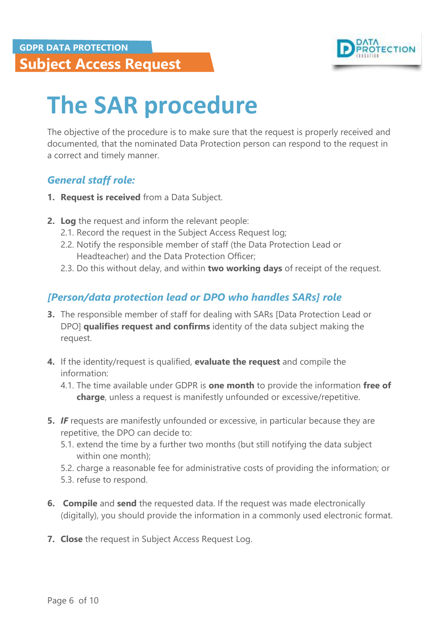

## **Subject Access Request**

## <span id="page-5-0"></span>**The SAR procedure**

The objective of the procedure is to make sure that the request is properly received and documented, that the nominated Data Protection person can respond to the request in a correct and timely manner.

#### *General staff role:*

- **1. Request is received** from a Data Subject.
- **2. Log** the request and inform the relevant people:
	- 2.1. Record the request in the Subject Access Request log;
	- 2.2. Notify the responsible member of staff (the Data Protection Lead or Headteacher) and the Data Protection Officer;
	- 2.3. Do this without delay, and within **two working days** of receipt of the request.

#### <span id="page-5-1"></span>*[Person/data protection lead or DPO who handles SARs] role*

- **3.** The responsible member of staff for dealing with SARs [Data Protection Lead or DPO] **qualifies request and confirms** identity of the data subject making the request.
- **4.** If the identity/request is qualified, **evaluate the request** and compile the information:
	- 4.1. The time available under GDPR is **one month** to provide the information **free of charge**, unless a request is manifestly unfounded or excessive/repetitive.
- **5.** *IF* requests are manifestly unfounded or excessive, in particular because they are repetitive, the DPO can decide to:
	- 5.1. extend the time by a further two months (but still notifying the data subject within one month);
	- 5.2. charge a reasonable fee for administrative costs of providing the information; or
	- 5.3. refuse to respond.
- **6. Compile** and **send** the requested data. If the request was made electronically (digitally), you should provide the information in a commonly used electronic format.
- **7. Close** the request in Subject Access Request Log.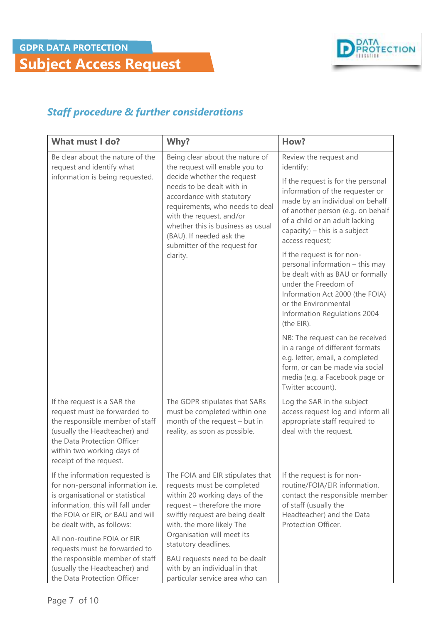

**Subject Access Request**

#### <span id="page-6-0"></span>*Staff procedure & further considerations*

| What must I do?                                                                                                                                                                                                                                                                                                                                                                    | Why?                                                                                                                                                                                                                                                                                                                                                       | How?                                                                                                                                                                                                                                                                                                                                                                                                                                                                                                                                                                                                                                                                                                                  |  |
|------------------------------------------------------------------------------------------------------------------------------------------------------------------------------------------------------------------------------------------------------------------------------------------------------------------------------------------------------------------------------------|------------------------------------------------------------------------------------------------------------------------------------------------------------------------------------------------------------------------------------------------------------------------------------------------------------------------------------------------------------|-----------------------------------------------------------------------------------------------------------------------------------------------------------------------------------------------------------------------------------------------------------------------------------------------------------------------------------------------------------------------------------------------------------------------------------------------------------------------------------------------------------------------------------------------------------------------------------------------------------------------------------------------------------------------------------------------------------------------|--|
| Be clear about the nature of the<br>request and identify what<br>information is being requested.                                                                                                                                                                                                                                                                                   | Being clear about the nature of<br>the request will enable you to<br>decide whether the request<br>needs to be dealt with in<br>accordance with statutory<br>requirements, who needs to deal<br>with the request, and/or<br>whether this is business as usual<br>(BAU). If needed ask the<br>submitter of the request for<br>clarity.                      | Review the request and<br>identify:<br>If the request is for the personal<br>information of the requester or<br>made by an individual on behalf<br>of another person (e.g. on behalf<br>of a child or an adult lacking<br>capacity) $-$ this is a subject<br>access request;<br>If the request is for non-<br>personal information - this may<br>be dealt with as BAU or formally<br>under the Freedom of<br>Information Act 2000 (the FOIA)<br>or the Environmental<br>Information Regulations 2004<br>(the EIR).<br>NB: The request can be received<br>in a range of different formats<br>e.g. letter, email, a completed<br>form, or can be made via social<br>media (e.g. a Facebook page or<br>Twitter account). |  |
| If the request is a SAR the<br>request must be forwarded to<br>the responsible member of staff<br>(usually the Headteacher) and<br>the Data Protection Officer<br>within two working days of<br>receipt of the request.                                                                                                                                                            | The GDPR stipulates that SARs<br>must be completed within one<br>month of the request - but in<br>reality, as soon as possible.                                                                                                                                                                                                                            | Log the SAR in the subject<br>access request log and inform all<br>appropriate staff required to<br>deal with the request.                                                                                                                                                                                                                                                                                                                                                                                                                                                                                                                                                                                            |  |
| If the information requested is<br>for non-personal information i.e.<br>is organisational or statistical<br>information, this will fall under<br>the FOIA or EIR, or BAU and will<br>be dealt with, as follows:<br>All non-routine FOIA or EIR<br>requests must be forwarded to<br>the responsible member of staff<br>(usually the Headteacher) and<br>the Data Protection Officer | The FOIA and EIR stipulates that<br>requests must be completed<br>within 20 working days of the<br>request - therefore the more<br>swiftly request are being dealt<br>with, the more likely The<br>Organisation will meet its<br>statutory deadlines.<br>BAU requests need to be dealt<br>with by an individual in that<br>particular service area who can | If the request is for non-<br>routine/FOIA/EIR information,<br>contact the responsible member<br>of staff (usually the<br>Headteacher) and the Data<br>Protection Officer.                                                                                                                                                                                                                                                                                                                                                                                                                                                                                                                                            |  |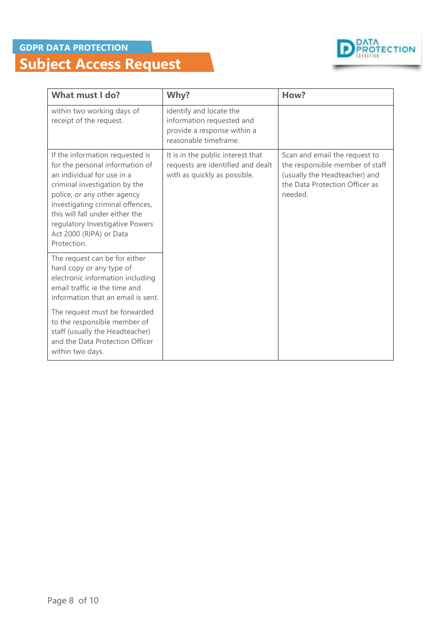#### **GDPR DATA PROTECTION**

## **Subject Access Request**



| What must I do?                                                                                                                                                                                                                                                                                                      | Why?                                                                                                         | How?                                                                                                                                           |  |
|----------------------------------------------------------------------------------------------------------------------------------------------------------------------------------------------------------------------------------------------------------------------------------------------------------------------|--------------------------------------------------------------------------------------------------------------|------------------------------------------------------------------------------------------------------------------------------------------------|--|
| within two working days of<br>receipt of the request.                                                                                                                                                                                                                                                                | identify and locate the<br>information requested and<br>provide a response within a<br>reasonable timeframe. |                                                                                                                                                |  |
| If the information requested is<br>for the personal information of<br>an individual for use in a<br>criminal investigation by the<br>police, or any other agency<br>investigating criminal offences,<br>this will fall under either the<br>regulatory Investigative Powers<br>Act 2000 (RIPA) or Data<br>Protection. | It is in the public interest that<br>requests are identified and dealt<br>with as quickly as possible.       | Scan and email the request to<br>the responsible member of staff<br>(usually the Headteacher) and<br>the Data Protection Officer as<br>needed. |  |
| The request can be for either<br>hard copy or any type of<br>electronic information including<br>email traffic ie the time and<br>information that an email is sent.                                                                                                                                                 |                                                                                                              |                                                                                                                                                |  |
| The request must be forwarded<br>to the responsible member of<br>staff (usually the Headteacher)<br>and the Data Protection Officer<br>within two days.                                                                                                                                                              |                                                                                                              |                                                                                                                                                |  |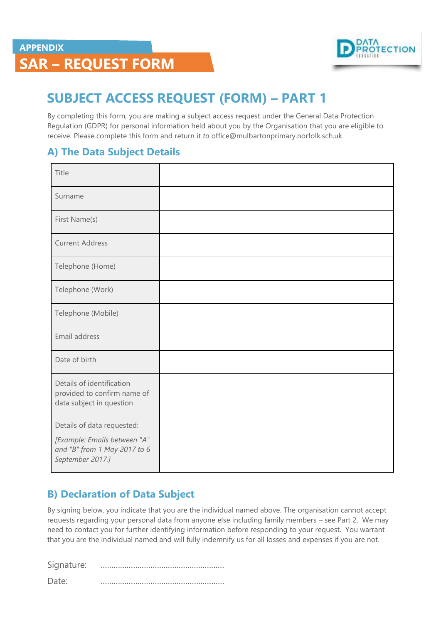

## **SAR – REQUEST FORM**

## <span id="page-8-0"></span>**SUBJECT ACCESS REQUEST (FORM) – PART 1**

By completing this form, you are making a subject access request under the General Data Protection Regulation (GDPR) for personal information held about you by the Organisation that you are eligible to receive. Please complete this form and return it *to* office@mulbartonprimary.norfolk.sch.uk

#### <span id="page-8-1"></span>**A) The Data Subject Details**

| Title                                                                                |  |
|--------------------------------------------------------------------------------------|--|
| Surname                                                                              |  |
| First Name(s)                                                                        |  |
| <b>Current Address</b>                                                               |  |
| Telephone (Home)                                                                     |  |
| Telephone (Work)                                                                     |  |
| Telephone (Mobile)                                                                   |  |
| Email address                                                                        |  |
| Date of birth                                                                        |  |
| Details of identification<br>provided to confirm name of<br>data subject in question |  |
| Details of data requested:                                                           |  |
| [Example: Emails between "A"<br>and "B" from 1 May 2017 to 6<br>September 2017.]     |  |

#### <span id="page-8-2"></span>**B) Declaration of Data Subject**

By signing below, you indicate that you are the individual named above. The organisation cannot accept requests regarding your personal data from anyone else including family members – see Part 2. We may need to contact you for further identifying information before responding to your request. You warrant that you are the individual named and will fully indemnify us for all losses and expenses if you are not.

Signature: ………………………………………………… Date: …………………………………………………